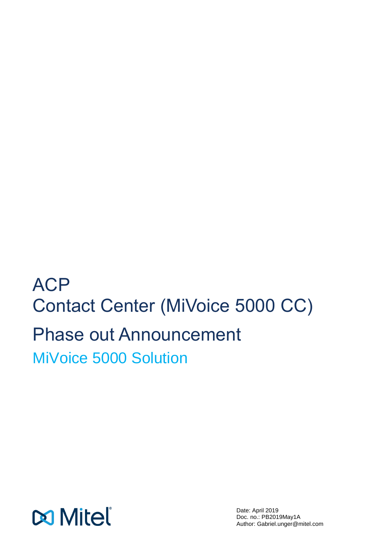**ACP** Contact Center (MiVoice 5000 CC) Phase out Announcement MiVoice 5000 Solution

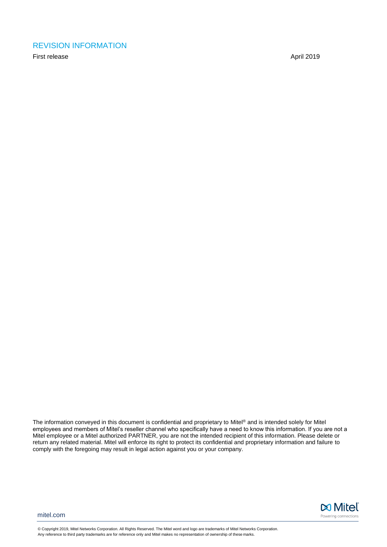#### <span id="page-1-0"></span>REVISION INFORMATION

First release April 2019

The information conveyed in this document is confidential and proprietary to Mitel® and is intended solely for Mitel employees and members of Mitel's reseller channel who specifically have a need to know this information. If you are not a Mitel employee or a Mitel authorized PARTNER, you are not the intended recipient of this information. Please delete or return any related material. Mitel will enforce its right to protect its confidential and proprietary information and failure to comply with the foregoing may result in legal action against you or your company.



mitel.com

© Copyright 2019, Mitel Networks Corporation. All Rights Reserved. The Mitel word and logo are trademarks of Mitel Networks Corporation. Any reference to third party trademarks are for reference only and Mitel makes no representation of ownership of these marks.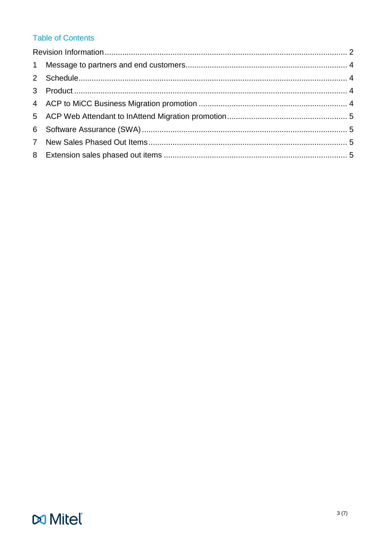# **Table of Contents**

# **Do Mitel**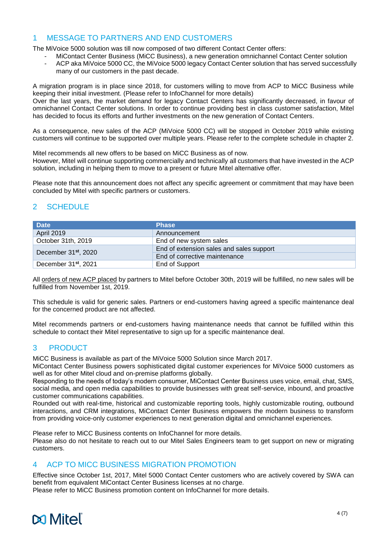#### <span id="page-3-0"></span>1 MESSAGE TO PARTNERS AND END CUSTOMERS

The MiVoice 5000 solution was till now composed of two different Contact Center offers:

- MiContact Center Business (MiCC Business), a new generation omnichannel Contact Center solution
- ACP aka MiVoice 5000 CC, the MiVoice 5000 legacy Contact Center solution that has served successfully many of our customers in the past decade.

A migration program is in place since 2018, for customers willing to move from ACP to MiCC Business while keeping their initial investment. (Please refer to InfoChannel for more details)

Over the last years, the market demand for legacy Contact Centers has significantly decreased, in favour of omnichannel Contact Center solutions. In order to continue providing best in class customer satisfaction, Mitel has decided to focus its efforts and further investments on the new generation of Contact Centers.

As a consequence, new sales of the ACP (MiVoice 5000 CC) will be stopped in October 2019 while existing customers will continue to be supported over multiple years. Please refer to the complete schedule in chapter 2.

Mitel recommends all new offers to be based on MiCC Business as of now.

However, Mitel will continue supporting commercially and technically all customers that have invested in the ACP solution, including in helping them to move to a present or future Mitel alternative offer.

Please note that this announcement does not affect any specific agreement or commitment that may have been concluded by Mitel with specific partners or customers.

## <span id="page-3-1"></span>2 SCHEDULE

| <b>Date</b>                      | <b>Phase</b>                             |
|----------------------------------|------------------------------------------|
| <b>April 2019</b>                | Announcement                             |
| October 31th, 2019               | End of new system sales                  |
|                                  | End of extension sales and sales support |
| December 31 <sup>st</sup> , 2020 | End of corrective maintenance            |
| December 31 <sup>st</sup> , 2021 | End of Support                           |

All orders of new ACP placed by partners to Mitel before October 30th, 2019 will be fulfilled, no new sales will be fulfilled from November 1st, 2019.

This schedule is valid for generic sales. Partners or end-customers having agreed a specific maintenance deal for the concerned product are not affected.

Mitel recommends partners or end-customers having maintenance needs that cannot be fulfilled within this schedule to contact their Mitel representative to sign up for a specific maintenance deal.

#### <span id="page-3-2"></span>3 PRODUCT

MiCC Business is available as part of the MiVoice 5000 Solution since March 2017.

MiContact Center Business powers sophisticated digital customer experiences for MiVoice 5000 customers as well as for other Mitel cloud and on-premise platforms globally.

Responding to the needs of today's modern consumer, MiContact Center Business uses voice, email, chat, SMS, social media, and open media capabilities to provide businesses with great self-service, inbound, and proactive customer communications capabilities.

Rounded out with real-time, historical and customizable reporting tools, highly customizable routing, outbound interactions, and CRM integrations, MiContact Center Business empowers the modern business to transform from providing voice-only customer experiences to next generation digital and omnichannel experiences.

Please refer to MiCC Business contents on InfoChannel for more details. Please also do not hesitate to reach out to our Mitel Sales Engineers team to get support on new or migrating customers.

#### <span id="page-3-3"></span>4 ACP TO MICC BUSINESS MIGRATION PROMOTION

Effective since October 1st, 2017, Mitel 5000 Contact Center customers who are actively covered by SWA can benefit from equivalent MiContact Center Business licenses at no charge. Please refer to MiCC Business promotion content on InfoChannel for more details.

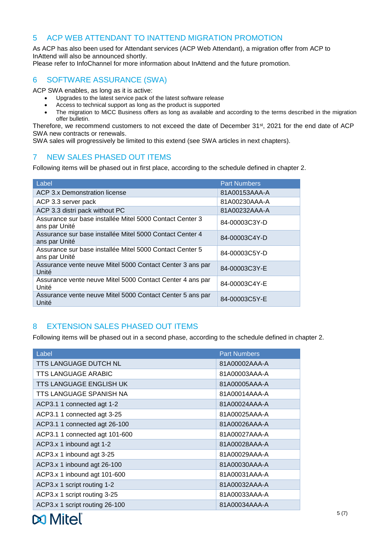#### <span id="page-4-0"></span>5 ACP WEB ATTENDANT TO INATTEND MIGRATION PROMOTION

As ACP has also been used for Attendant services (ACP Web Attendant), a migration offer from ACP to InAttend will also be announced shortly.

<span id="page-4-1"></span>Please refer to InfoChannel for more information about InAttend and the future promotion.

### 6 SOFTWARE ASSURANCE (SWA)

ACP SWA enables, as long as it is active:

- Upgrades to the latest service pack of the latest software release
- Access to technical support as long as the product is supported
- The migration to MiCC Business offers as long as available and according to the terms described in the migration offer bulletin.

Therefore, we recommend customers to not exceed the date of December 31<sup>st</sup>, 2021 for the end date of ACP SWA new contracts or renewals.

<span id="page-4-2"></span>SWA sales will progressively be limited to this extend (see SWA articles in next chapters).

### 7 NEW SALES PHASED OUT ITEMS

Following items will be phased out in first place, according to the schedule defined in chapter 2.

| Label                                                                     | <b>Part Numbers</b> |
|---------------------------------------------------------------------------|---------------------|
| ACP 3.x Demonstration license                                             | 81A00153AAA-A       |
| ACP 3.3 server pack                                                       | 81A00230AAA-A       |
| ACP 3.3 distri pack without PC                                            | 81A00232AAA-A       |
| Assurance sur base installée Mitel 5000 Contact Center 3<br>ans par Unité | 84-00003C3Y-D       |
| Assurance sur base installée Mitel 5000 Contact Center 4<br>ans par Unité | 84-00003C4Y-D       |
| Assurance sur base installée Mitel 5000 Contact Center 5<br>ans par Unité | 84-00003C5Y-D       |
| Assurance vente neuve Mitel 5000 Contact Center 3 ans par<br>Unité        | 84-00003C3Y-E       |
| Assurance vente neuve Mitel 5000 Contact Center 4 ans par<br>Unité        | 84-00003C4Y-E       |
| Assurance vente neuve Mitel 5000 Contact Center 5 ans par<br>Unité        | 84-00003C5Y-E       |

#### <span id="page-4-3"></span>8 EXTENSION SALES PHASED OUT ITEMS

Following items will be phased out in a second phase, according to the schedule defined in chapter 2.

| Label                          | <b>Part Numbers</b> |
|--------------------------------|---------------------|
| TTS LANGUAGE DUTCH NL          | 81A00002AAA-A       |
| <b>TTS LANGUAGE ARABIC</b>     | 81A00003AAA-A       |
| <b>TTS LANGUAGE ENGLISH UK</b> | 81A00005AAA-A       |
| TTS LANGUAGE SPANISH NA        | 81A00014AAA-A       |
| ACP3.1 1 connected agt 1-2     | 81A00024AAA-A       |
| ACP3.1 1 connected agt 3-25    | 81A00025AAA-A       |
| ACP3.1 1 connected agt 26-100  | 81A00026AAA-A       |
| ACP3.1 1 connected agt 101-600 | 81A00027AAA-A       |
| ACP3.x 1 inbound agt 1-2       | 81A00028AAA-A       |
| ACP3.x 1 inbound agt 3-25      | 81A00029AAA-A       |
| ACP3.x 1 inbound agt 26-100    | 81A00030AAA-A       |
| ACP3.x 1 inbound agt 101-600   | 81A00031AAA-A       |
| ACP3.x 1 script routing 1-2    | 81A00032AAA-A       |
| ACP3.x 1 script routing 3-25   | 81A00033AAA-A       |
| ACP3.x 1 script routing 26-100 | 81A00034AAA-A       |

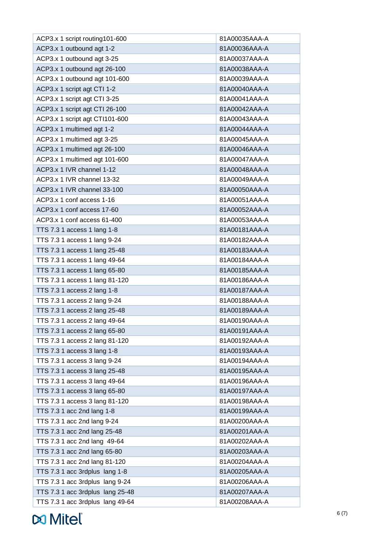| ACP3.x 1 script routing101-600   | 81A00035AAA-A |
|----------------------------------|---------------|
| ACP3.x 1 outbound agt 1-2        | 81A00036AAA-A |
| ACP3.x 1 outbound agt 3-25       | 81A00037AAA-A |
| ACP3.x 1 outbound agt 26-100     | 81A00038AAA-A |
| ACP3.x 1 outbound agt 101-600    | 81A00039AAA-A |
| ACP3.x 1 script agt CTI 1-2      | 81A00040AAA-A |
| ACP3.x 1 script agt CTI 3-25     | 81A00041AAA-A |
| ACP3.x 1 script agt CTI 26-100   | 81A00042AAA-A |
| ACP3.x 1 script agt CTI101-600   | 81A00043AAA-A |
| ACP3.x 1 multimed agt 1-2        | 81A00044AAA-A |
| ACP3.x 1 multimed agt 3-25       | 81A00045AAA-A |
| ACP3.x 1 multimed agt 26-100     | 81A00046AAA-A |
| ACP3.x 1 multimed agt 101-600    | 81A00047AAA-A |
| ACP3.x 1 IVR channel 1-12        | 81A00048AAA-A |
| ACP3.x 1 IVR channel 13-32       | 81A00049AAA-A |
| ACP3.x 1 IVR channel 33-100      | 81A00050AAA-A |
| ACP3.x 1 conf access 1-16        | 81A00051AAA-A |
| ACP3.x 1 conf access 17-60       | 81A00052AAA-A |
| ACP3.x 1 conf access 61-400      | 81A00053AAA-A |
| TTS 7.3 1 access 1 lang 1-8      | 81A00181AAA-A |
| TTS 7.3 1 access 1 lang 9-24     | 81A00182AAA-A |
| TTS 7.3 1 access 1 lang 25-48    | 81A00183AAA-A |
| TTS 7.3 1 access 1 lang 49-64    | 81A00184AAA-A |
| TTS 7.3 1 access 1 lang 65-80    | 81A00185AAA-A |
| TTS 7.3 1 access 1 lang 81-120   | 81A00186AAA-A |
| TTS 7.3 1 access 2 lang 1-8      | 81A00187AAA-A |
| TTS 7.3 1 access 2 lang 9-24     | 81A00188AAA-A |
| TTS 7.3 1 access 2 lang 25-48    | 81A00189AAA-A |
| TTS 7.3 1 access 2 lang 49-64    | 81A00190AAA-A |
| TTS 7.3 1 access 2 lang 65-80    | 81A00191AAA-A |
| TTS 7.3 1 access 2 lang 81-120   | 81A00192AAA-A |
| TTS 7.3 1 access 3 lang 1-8      | 81A00193AAA-A |
| TTS 7.3 1 access 3 lang 9-24     | 81A00194AAA-A |
| TTS 7.3 1 access 3 lang 25-48    | 81A00195AAA-A |
| TTS 7.3 1 access 3 lang 49-64    | 81A00196AAA-A |
| TTS 7.3 1 access 3 lang 65-80    | 81A00197AAA-A |
| TTS 7.3 1 access 3 lang 81-120   | 81A00198AAA-A |
| TTS 7.3 1 acc 2nd lang 1-8       | 81A00199AAA-A |
| TTS 7.3 1 acc 2nd lang 9-24      | 81A00200AAA-A |
| TTS 7.3 1 acc 2nd lang 25-48     | 81A00201AAA-A |
| TTS 7.3 1 acc 2nd lang 49-64     | 81A00202AAA-A |
| TTS 7.3 1 acc 2nd lang 65-80     | 81A00203AAA-A |
| TTS 7.3 1 acc 2nd lang 81-120    | 81A00204AAA-A |
| TTS 7.3 1 acc 3rdplus lang 1-8   | 81A00205AAA-A |
| TTS 7.3 1 acc 3rdplus lang 9-24  | 81A00206AAA-A |
| TTS 7.3 1 acc 3rdplus lang 25-48 | 81A00207AAA-A |
| TTS 7.3 1 acc 3rdplus lang 49-64 | 81A00208AAA-A |